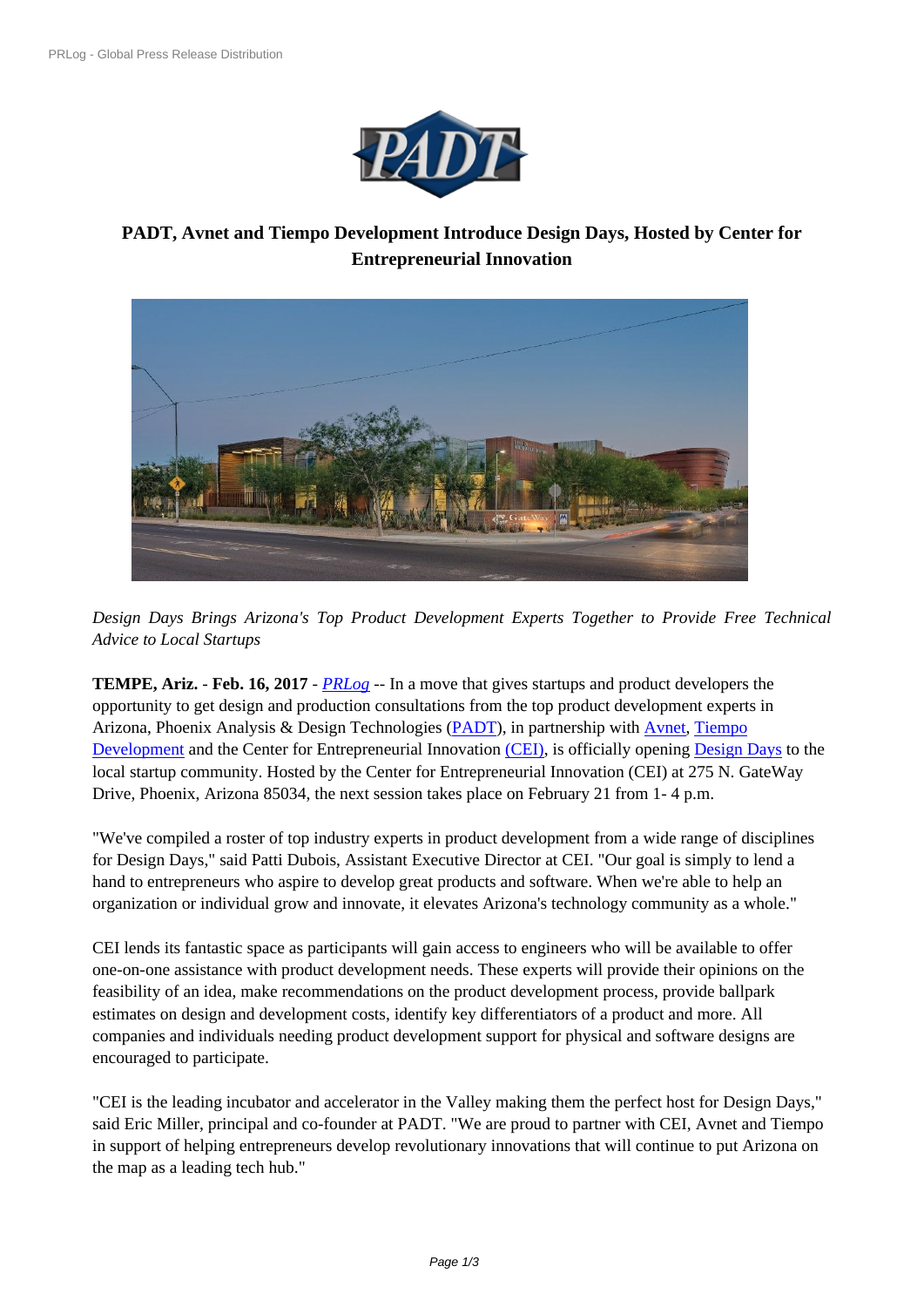

# **PADT, Avnet and Tiempo D[evelopment Introduce D](https://biz.prlog.org/PADTinc/)esign Days, Hosted by Center for Entrepreneurial Innovation**



*Desi[gn Days Brings Arizona's Top Product Development Experts Together to Provide Fre](https://www.prlog.org/12620488-cei-campus-in-phoenix-az.jpg)e Technical Advice to Local Startups*

**TEMPE, Ariz.** - **Feb. 16, 2017** - *PRLog* -- In a move that gives startups and product developers the opportunity to get design and production consultations from the top product development experts in Arizona, Phoenix Analysis & Design Technologies (PADT), in partnership with Avnet, Tiempo Development and the Center for [Entrepre](https://www.prlog.org)neurial Innovation (CEI), is officially opening Design Days to the local startup community. Hosted by the Center for Entrepreneurial Innovation (CEI) at 275 N. GateWay Drive, Phoenix, Arizona 85034, the next session tak[es place](http://www.padtinc.com/) on February 21 fro[m 1- 4 p](http://www.avnet.com/en-us/Pages/default.aspx)[.m.](http://www.tiempodev.com/index)

["We've compi](http://www.tiempodev.com/index)led a roster of top industry experts in product [develo](http://www.ceigateway.com/)pment from a wide ra[nge of discip](http://www.ceigateway.com/)lines for Design Days," said Patti Dubois, Assistant Executive Director at CEI. "Our goal is simply to lend a hand to entrepreneurs who aspire to develop great products and software. When we're able to help an organization or individual grow and innovate, it elevates Arizona's technology community as a whole."

CEI lends its fantastic space as participants will gain access to engineers who will be available to offer one-on-one assistance with product development needs. These experts will provide their opinions on the feasibility of an idea, make recommendations on the product development process, provide ballpark estimates on design and development costs, identify key differentiators of a product and more. All companies and individuals needing product development support for physical and software designs are encouraged to participate.

"CEI is the leading incubator and accelerator in the Valley making them the perfect host for Design Days," said Eric Miller, principal and co-founder at PADT. "We are proud to partner with CEI, Avnet and Tiempo in support of helping entrepreneurs develop revolutionary innovations that will continue to put Arizona on the map as a leading tech hub."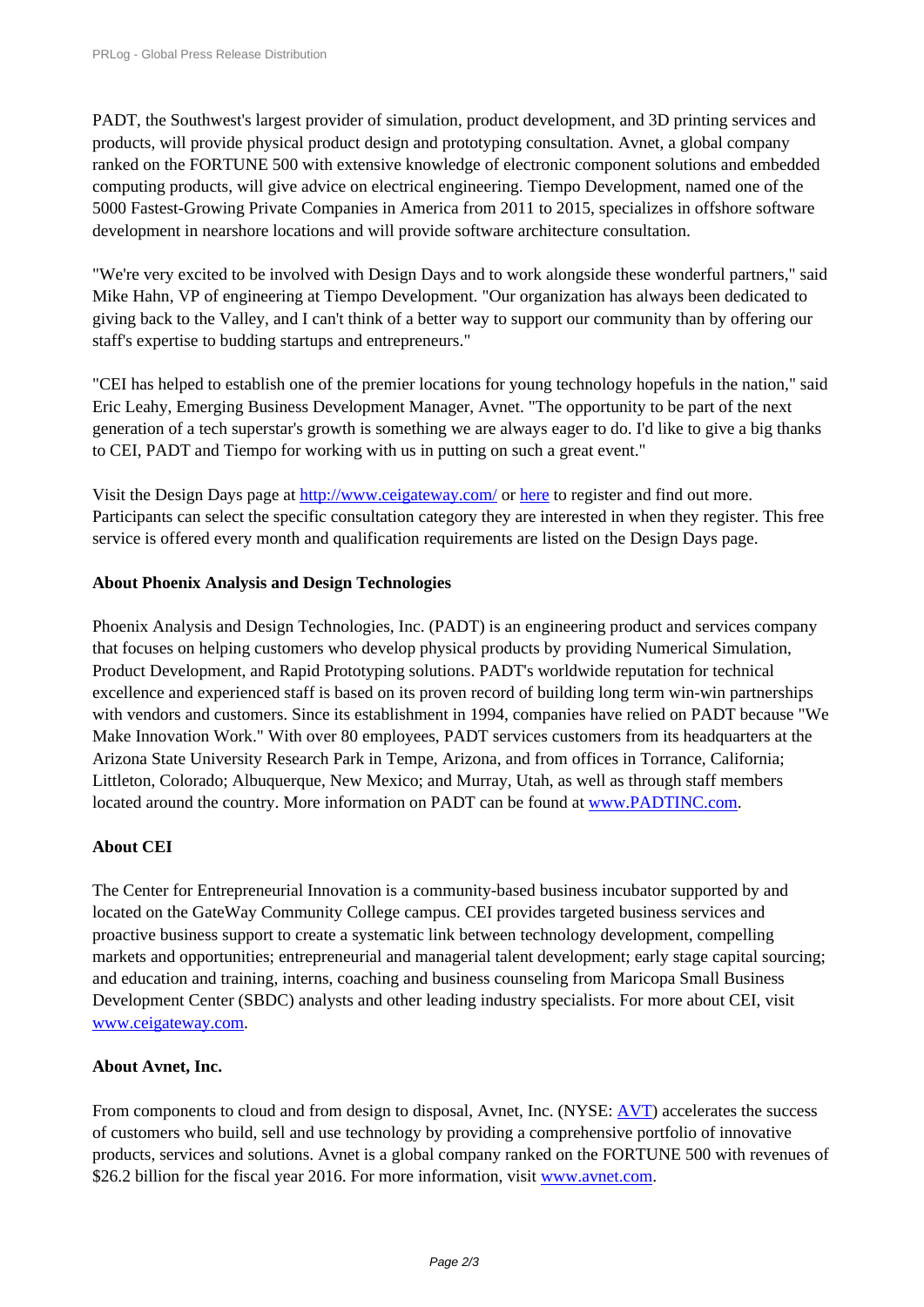PADT, the Southwest's largest provider of simulation, product development, and 3D printing services and [products, will provide physical pro](https://www.prlog.org/)duct design and prototyping consultation. Avnet, a global company ranked on the FORTUNE 500 with extensive knowledge of electronic component solutions and embedded computing products, will give advice on electrical engineering. Tiempo Development, named one of the 5000 Fastest-Growing Private Companies in America from 2011 to 2015, specializes in offshore software development in nearshore locations and will provide software architecture consultation.

"We're very excited to be involved with Design Days and to work alongside these wonderful partners," said Mike Hahn, VP of engineering at Tiempo Development. "Our organization has always been dedicated to giving back to the Valley, and I can't think of a better way to support our community than by offering our staff's expertise to budding startups and entrepreneurs."

"CEI has helped to establish one of the premier locations for young technology hopefuls in the nation," said Eric Leahy, Emerging Business Development Manager, Avnet. "The opportunity to be part of the next generation of a tech superstar's growth is something we are always eager to do. I'd like to give a big thanks to CEI, PADT and Tiempo for working with us in putting on such a great event."

Visit the Design Days page at http://www.ceigateway.com/ or here to register and find out more. Participants can select the specific consultation category they are interested in when they register. This free service is offered every month and qualification requirements are listed on the Design Days page.

## **About Phoenix Analysis and [Design Technologies](http://www.ceigateway.com/)**

Phoenix Analysis and Design Technologies, Inc. (PADT) is an engineering product and services company that focuses on helping customers who develop physical products by providing Numerical Simulation, Product Development, and Rapid Prototyping solutions. PADT's worldwide reputation for technical excellence and experienced staff is based on its proven record of building long term win-win partnerships with vendors and customers. Since its establishment in 1994, companies have relied on PADT because "We Make Innovation Work." With over 80 employees, PADT services customers from its headquarters at the Arizona State University Research Park in Tempe, Arizona, and from offices in Torrance, California; Littleton, Colorado; Albuquerque, New Mexico; and Murray, Utah, as well as through staff members located around the country. More information on PADT can be found at www.PADTINC.com.

# **About CEI**

The Center for Entrepreneurial Innovation is a community-based busine[ss incubator supported](http://www.padtinc.com/) by and located on the GateWay Community College campus. CEI provides targeted business services and proactive business support to create a systematic link between technology development, compelling markets and opportunities; entrepreneurial and managerial talent development; early stage capital sourcing; and education and training, interns, coaching and business counseling from Maricopa Small Business Development Center (SBDC) analysts and other leading industry specialists. For more about CEI, visit www.ceigateway.com.

#### **About Avnet, Inc.**

[From components to c](http://www.ceigateway.com/)loud and from design to disposal, Avnet, Inc. (NYSE: AVT) accelerates the success of customers who build, sell and use technology by providing a comprehensive portfolio of innovative products, services and solutions. Avnet is a global company ranked on the FORTUNE 500 with revenues of \$26.2 billion for the fiscal year 2016. For more information, visit www.avne[t.com](http://cts.businesswire.com/ct/CT?id=smartlink&url=http%3A%2F%2Fir.avnet.com%2F&esheet=51414054&newsitemid=20160906005511&lan=en-US&anchor=AVT&index=6&md5=b9490d04de7c98461df19d08539c28a1).